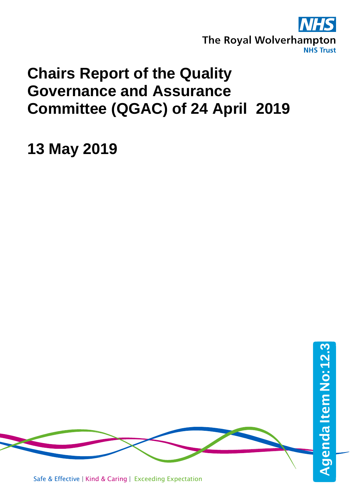

## **Chairs Report of the Quality Governance and Assurance Committee (QGAC) of 24 April 2019**

**13 May 2019**

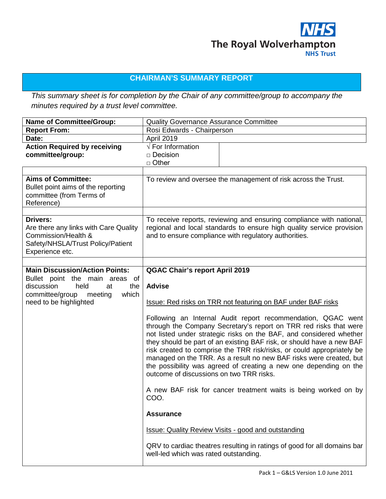

## **CHAIRMAN'S SUMMARY REPORT**

*This summary sheet is for completion by the Chair of any committee/group to accompany the minutes required by a trust level committee.*

| <b>Name of Committee/Group:</b>                                                                                                                                             | <b>Quality Governance Assurance Committee</b>                                                                                                                                                                                                                                                                                                                                                                                                                                                                                                                                                                                                                                                                                                                                                                                                                                                                         |                                                                                                                                                                                                        |
|-----------------------------------------------------------------------------------------------------------------------------------------------------------------------------|-----------------------------------------------------------------------------------------------------------------------------------------------------------------------------------------------------------------------------------------------------------------------------------------------------------------------------------------------------------------------------------------------------------------------------------------------------------------------------------------------------------------------------------------------------------------------------------------------------------------------------------------------------------------------------------------------------------------------------------------------------------------------------------------------------------------------------------------------------------------------------------------------------------------------|--------------------------------------------------------------------------------------------------------------------------------------------------------------------------------------------------------|
| <b>Report From:</b>                                                                                                                                                         | Rosi Edwards - Chairperson                                                                                                                                                                                                                                                                                                                                                                                                                                                                                                                                                                                                                                                                                                                                                                                                                                                                                            |                                                                                                                                                                                                        |
| Date:                                                                                                                                                                       | April 2019                                                                                                                                                                                                                                                                                                                                                                                                                                                                                                                                                                                                                                                                                                                                                                                                                                                                                                            |                                                                                                                                                                                                        |
| <b>Action Required by receiving</b><br>committee/group:                                                                                                                     | $\sqrt{}$ For Information<br>$\Box$ Decision<br>$\Box$ Other                                                                                                                                                                                                                                                                                                                                                                                                                                                                                                                                                                                                                                                                                                                                                                                                                                                          |                                                                                                                                                                                                        |
| <b>Aims of Committee:</b><br>Bullet point aims of the reporting<br>committee (from Terms of<br>Reference)                                                                   |                                                                                                                                                                                                                                                                                                                                                                                                                                                                                                                                                                                                                                                                                                                                                                                                                                                                                                                       | To review and oversee the management of risk across the Trust.                                                                                                                                         |
| <b>Drivers:</b><br>Are there any links with Care Quality<br>Commission/Health &<br>Safety/NHSLA/Trust Policy/Patient<br>Experience etc.                                     |                                                                                                                                                                                                                                                                                                                                                                                                                                                                                                                                                                                                                                                                                                                                                                                                                                                                                                                       | To receive reports, reviewing and ensuring compliance with national,<br>regional and local standards to ensure high quality service provision<br>and to ensure compliance with regulatory authorities. |
|                                                                                                                                                                             |                                                                                                                                                                                                                                                                                                                                                                                                                                                                                                                                                                                                                                                                                                                                                                                                                                                                                                                       |                                                                                                                                                                                                        |
| <b>Main Discussion/Action Points:</b><br>Bullet point the main areas of<br>discussion<br>held<br>at<br>the<br>committee/group<br>meeting<br>which<br>need to be highlighted | <b>QGAC Chair's report April 2019</b><br><b>Advise</b><br>Issue: Red risks on TRR not featuring on BAF under BAF risks<br>Following an Internal Audit report recommendation, QGAC went<br>through the Company Secretary's report on TRR red risks that were<br>not listed under strategic risks on the BAF, and considered whether<br>they should be part of an existing BAF risk, or should have a new BAF<br>risk created to comprise the TRR risk/risks, or could appropriately be<br>managed on the TRR. As a result no new BAF risks were created, but<br>the possibility was agreed of creating a new one depending on the<br>outcome of discussions on two TRR risks.<br>A new BAF risk for cancer treatment waits is being worked on by<br>COO.<br><b>Assurance</b><br><b>Issue: Quality Review Visits - good and outstanding</b><br>QRV to cardiac theatres resulting in ratings of good for all domains bar |                                                                                                                                                                                                        |
|                                                                                                                                                                             | well-led which was rated outstanding.                                                                                                                                                                                                                                                                                                                                                                                                                                                                                                                                                                                                                                                                                                                                                                                                                                                                                 |                                                                                                                                                                                                        |
|                                                                                                                                                                             |                                                                                                                                                                                                                                                                                                                                                                                                                                                                                                                                                                                                                                                                                                                                                                                                                                                                                                                       |                                                                                                                                                                                                        |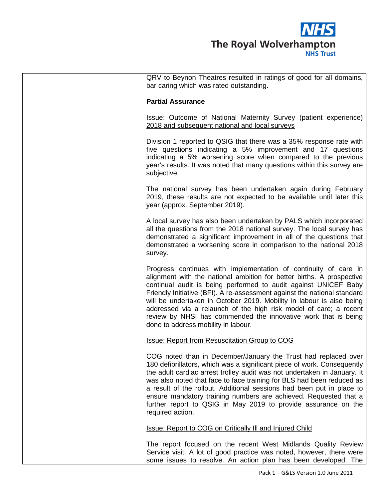

| QRV to Beynon Theatres resulted in ratings of good for all domains,<br>bar caring which was rated outstanding.                                                                                                                                                                                                                                                                                                                                                                                                                                |
|-----------------------------------------------------------------------------------------------------------------------------------------------------------------------------------------------------------------------------------------------------------------------------------------------------------------------------------------------------------------------------------------------------------------------------------------------------------------------------------------------------------------------------------------------|
| <b>Partial Assurance</b>                                                                                                                                                                                                                                                                                                                                                                                                                                                                                                                      |
| <b>Issue: Outcome of National Maternity Survey (patient experience)</b><br>2018 and subsequent national and local surveys                                                                                                                                                                                                                                                                                                                                                                                                                     |
| Division 1 reported to QSIG that there was a 35% response rate with<br>five questions indicating a 5% improvement and 17 questions<br>indicating a 5% worsening score when compared to the previous<br>year's results. It was noted that many questions within this survey are<br>subjective.                                                                                                                                                                                                                                                 |
| The national survey has been undertaken again during February<br>2019, these results are not expected to be available until later this<br>year (approx. September 2019).                                                                                                                                                                                                                                                                                                                                                                      |
| A local survey has also been undertaken by PALS which incorporated<br>all the questions from the 2018 national survey. The local survey has<br>demonstrated a significant improvement in all of the questions that<br>demonstrated a worsening score in comparison to the national 2018<br>survey.                                                                                                                                                                                                                                            |
| Progress continues with implementation of continuity of care in<br>alignment with the national ambition for better births. A prospective<br>continual audit is being performed to audit against UNICEF Baby<br>Friendly Initiative (BFI). A re-assessment against the national standard<br>will be undertaken in October 2019. Mobility in labour is also being<br>addressed via a relaunch of the high risk model of care; a recent<br>review by NHSI has commended the innovative work that is being<br>done to address mobility in labour. |
| <b>Issue: Report from Resuscitation Group to COG</b>                                                                                                                                                                                                                                                                                                                                                                                                                                                                                          |
| COG noted than in December/January the Trust had replaced over<br>180 defibrillators, which was a significant piece of work. Consequently<br>the adult cardiac arrest trolley audit was not undertaken in January. It<br>was also noted that face to face training for BLS had been reduced as<br>a result of the rollout. Additional sessions had been put in place to<br>ensure mandatory training numbers are achieved. Requested that a<br>further report to QSIG in May 2019 to provide assurance on the<br>required action.             |
| Issue: Report to COG on Critically III and Injured Child                                                                                                                                                                                                                                                                                                                                                                                                                                                                                      |
| The report focused on the recent West Midlands Quality Review<br>Service visit. A lot of good practice was noted, however, there were<br>some issues to resolve. An action plan has been developed. The                                                                                                                                                                                                                                                                                                                                       |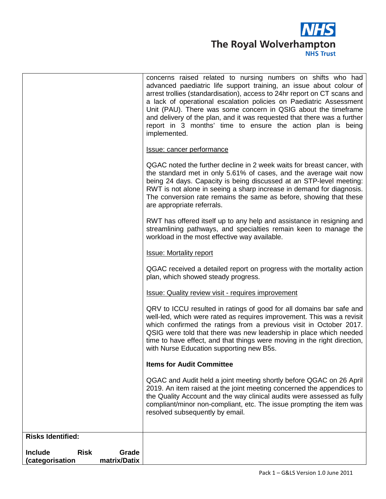

| matrix/Datix<br>(categorisation        |                                                                                                                                                                                                                                                                                                                                                                                                                                                   |
|----------------------------------------|---------------------------------------------------------------------------------------------------------------------------------------------------------------------------------------------------------------------------------------------------------------------------------------------------------------------------------------------------------------------------------------------------------------------------------------------------|
| <b>Risk</b><br>Grade<br><b>Include</b> |                                                                                                                                                                                                                                                                                                                                                                                                                                                   |
| <b>Risks Identified:</b>               |                                                                                                                                                                                                                                                                                                                                                                                                                                                   |
|                                        |                                                                                                                                                                                                                                                                                                                                                                                                                                                   |
|                                        | the Quality Account and the way clinical audits were assessed as fully<br>compliant/minor non-compliant, etc. The issue prompting the item was<br>resolved subsequently by email.                                                                                                                                                                                                                                                                 |
|                                        | QGAC and Audit held a joint meeting shortly before QGAC on 26 April<br>2019. An item raised at the joint meeting concerned the appendices to                                                                                                                                                                                                                                                                                                      |
|                                        | <b>Items for Audit Committee</b>                                                                                                                                                                                                                                                                                                                                                                                                                  |
|                                        | QRV to ICCU resulted in ratings of good for all domains bar safe and<br>well-led, which were rated as requires improvement. This was a revisit<br>which confirmed the ratings from a previous visit in October 2017.<br>QSIG were told that there was new leadership in place which needed<br>time to have effect, and that things were moving in the right direction,<br>with Nurse Education supporting new B5s.                                |
|                                        | <b>Issue: Quality review visit - requires improvement</b>                                                                                                                                                                                                                                                                                                                                                                                         |
|                                        | QGAC received a detailed report on progress with the mortality action<br>plan, which showed steady progress.                                                                                                                                                                                                                                                                                                                                      |
|                                        | <b>Issue: Mortality report</b>                                                                                                                                                                                                                                                                                                                                                                                                                    |
|                                        | RWT has offered itself up to any help and assistance in resigning and<br>streamlining pathways, and specialties remain keen to manage the<br>workload in the most effective way available.                                                                                                                                                                                                                                                        |
|                                        | QGAC noted the further decline in 2 week waits for breast cancer, with<br>the standard met in only 5.61% of cases, and the average wait now<br>being 24 days. Capacity is being discussed at an STP-level meeting:<br>RWT is not alone in seeing a sharp increase in demand for diagnosis.<br>The conversion rate remains the same as before, showing that these<br>are appropriate referrals.                                                    |
|                                        | <b>Issue: cancer performance</b>                                                                                                                                                                                                                                                                                                                                                                                                                  |
|                                        | advanced paediatric life support training, an issue about colour of<br>arrest trollies (standardisation), access to 24hr report on CT scans and<br>a lack of operational escalation policies on Paediatric Assessment<br>Unit (PAU). There was some concern in QSIG about the timeframe<br>and delivery of the plan, and it was requested that there was a further<br>report in 3 months' time to ensure the action plan is being<br>implemented. |
|                                        | concerns raised related to nursing numbers on shifts who had                                                                                                                                                                                                                                                                                                                                                                                      |